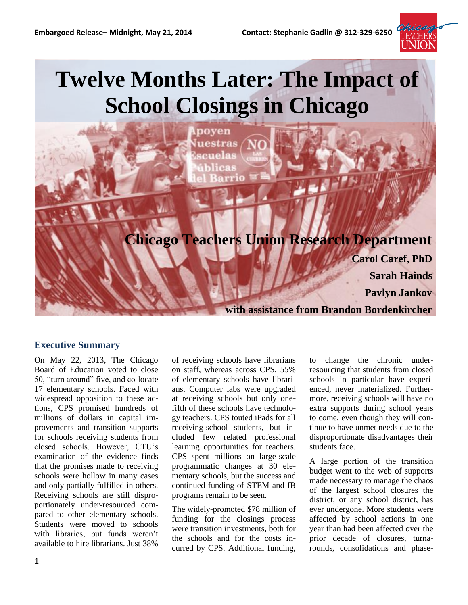

# **Twelve Months Later: The Impact of School Closings in Chicago**

poven uestras



# **Executive Summary**

On May 22, 2013, The Chicago Board of Education voted to close 50, "turn around" five, and co-locate 17 elementary schools. Faced with widespread opposition to these actions, CPS promised hundreds of millions of dollars in capital improvements and transition supports for schools receiving students from closed schools. However, CTU's examination of the evidence finds that the promises made to receiving schools were hollow in many cases and only partially fulfilled in others. Receiving schools are still disproportionately under-resourced compared to other elementary schools. Students were moved to schools with libraries, but funds weren't available to hire librarians. Just 38%

of receiving schools have librarians on staff, whereas across CPS, 55% of elementary schools have librarians. Computer labs were upgraded at receiving schools but only onefifth of these schools have technology teachers. CPS touted iPads for all receiving-school students, but included few related professional learning opportunities for teachers. CPS spent millions on large-scale programmatic changes at 30 elementary schools, but the success and continued funding of STEM and IB programs remain to be seen.

The widely-promoted \$78 million of funding for the closings process were transition investments, both for the schools and for the costs incurred by CPS. Additional funding,

to change the chronic underresourcing that students from closed schools in particular have experienced, never materialized. Furthermore, receiving schools will have no extra supports during school years to come, even though they will continue to have unmet needs due to the disproportionate disadvantages their students face.

A large portion of the transition budget went to the web of supports made necessary to manage the chaos of the largest school closures the district, or any school district, has ever undergone. More students were affected by school actions in one year than had been affected over the prior decade of closures, turnarounds, consolidations and phase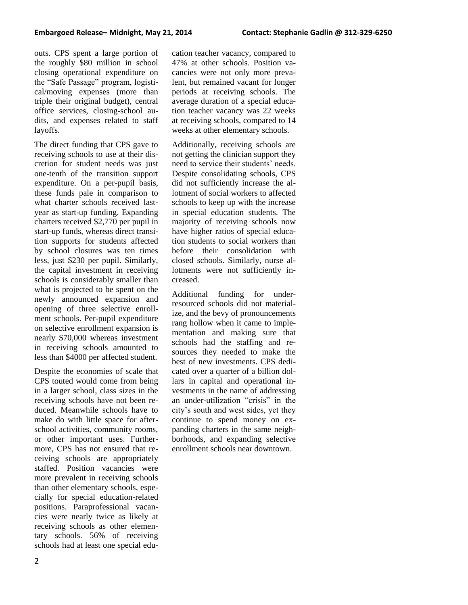outs. CPS spent a large portion of the roughly \$80 million in school closing operational expenditure on the "Safe Passage" program, logistical/moving expenses (more than triple their original budget), central office services, closing-school audits, and expenses related to staff layoffs.

The direct funding that CPS gave to receiving schools to use at their discretion for student needs was just one-tenth of the transition support expenditure. On a per-pupil basis, these funds pale in comparison to what charter schools received lastyear as start-up funding. Expanding charters received \$2,770 per pupil in start-up funds, whereas direct transition supports for students affected by school closures was ten times less, just \$230 per pupil. Similarly, the capital investment in receiving schools is considerably smaller than what is projected to be spent on the newly announced expansion and opening of three selective enrollment schools. Per-pupil expenditure on selective enrollment expansion is nearly \$70,000 whereas investment in receiving schools amounted to less than \$4000 per affected student.

Despite the economies of scale that CPS touted would come from being in a larger school, class sizes in the receiving schools have not been reduced. Meanwhile schools have to make do with little space for afterschool activities, community rooms, or other important uses. Furthermore, CPS has not ensured that receiving schools are appropriately staffed. Position vacancies were more prevalent in receiving schools than other elementary schools, especially for special education-related positions. Paraprofessional vacancies were nearly twice as likely at receiving schools as other elementary schools. 56% of receiving schools had at least one special education teacher vacancy, compared to 47% at other schools. Position vacancies were not only more prevalent, but remained vacant for longer periods at receiving schools. The average duration of a special education teacher vacancy was 22 weeks at receiving schools, compared to 14 weeks at other elementary schools.

Additionally, receiving schools are not getting the clinician support they need to service their students' needs. Despite consolidating schools, CPS did not sufficiently increase the allotment of social workers to affected schools to keep up with the increase in special education students. The majority of receiving schools now have higher ratios of special education students to social workers than before their consolidation with closed schools. Similarly, nurse allotments were not sufficiently increased.

Additional funding for underresourced schools did not materialize, and the bevy of pronouncements rang hollow when it came to implementation and making sure that schools had the staffing and resources they needed to make the best of new investments. CPS dedicated over a quarter of a billion dollars in capital and operational investments in the name of addressing an under-utilization "crisis" in the city's south and west sides, yet they continue to spend money on expanding charters in the same neighborhoods, and expanding selective enrollment schools near downtown.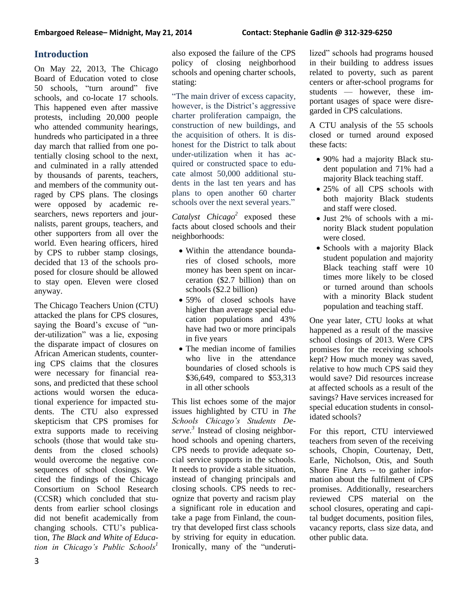# **Introduction**

On May 22, 2013, The Chicago Board of Education voted to close 50 schools, "turn around" five schools, and co-locate 17 schools. This happened even after massive protests, including 20,000 people who attended community hearings, hundreds who participated in a three day march that rallied from one potentially closing school to the next, and culminated in a rally attended by thousands of parents, teachers, and members of the community outraged by CPS plans. The closings were opposed by academic researchers, news reporters and journalists, parent groups, teachers, and other supporters from all over the world. Even hearing officers, hired by CPS to rubber stamp closings, decided that 13 of the schools proposed for closure should be allowed to stay open. Eleven were closed anyway.

The Chicago Teachers Union (CTU) attacked the plans for CPS closures, saying the Board's excuse of "under-utilization" was a lie, exposing the disparate impact of closures on African American students, countering CPS claims that the closures were necessary for financial reasons, and predicted that these school actions would worsen the educational experience for impacted students. The CTU also expressed skepticism that CPS promises for extra supports made to receiving schools (those that would take students from the closed schools) would overcome the negative consequences of school closings. We cited the findings of the Chicago Consortium on School Research (CCSR) which concluded that students from earlier school closings did not benefit academically from changing schools. CTU's publication, *The Black and White of Education in Chicago's Public Schools<sup>1</sup>*

also exposed the failure of the CPS policy of closing neighborhood schools and opening charter schools, stating:

"The main driver of excess capacity, however, is the District's aggressive charter proliferation campaign, the construction of new buildings, and the acquisition of others. It is dishonest for the District to talk about under-utilization when it has acquired or constructed space to educate almost 50,000 additional students in the last ten years and has plans to open another 60 charter schools over the next several years."

*Catalyst Chicago<sup>2</sup>* exposed these facts about closed schools and their neighborhoods:

- Within the attendance boundaries of closed schools, more money has been spent on incarceration (\$2.7 billion) than on schools (\$2.2 billion)
- 59% of closed schools have higher than average special education populations and 43% have had two or more principals in five years
- The median income of families who live in the attendance boundaries of closed schools is \$36,649, compared to \$53,313 in all other schools

This list echoes some of the major issues highlighted by CTU in *The Schools Chicago's Students Deserve. 3* Instead of closing neighborhood schools and opening charters, CPS needs to provide adequate social service supports in the schools. It needs to provide a stable situation, instead of changing principals and closing schools. CPS needs to recognize that poverty and racism play a significant role in education and take a page from Finland, the country that developed first class schools by striving for equity in education. Ironically, many of the "underuti-

lized" schools had programs housed in their building to address issues related to poverty, such as parent centers or after-school programs for students — however, these important usages of space were disregarded in CPS calculations.

A CTU analysis of the 55 schools closed or turned around exposed these facts:

- 90% had a majority Black student population and 71% had a majority Black teaching staff.
- 25% of all CPS schools with both majority Black students and staff were closed.
- Just 2% of schools with a minority Black student population were closed.
- Schools with a majority Black student population and majority Black teaching staff were 10 times more likely to be closed or turned around than schools with a minority Black student population and teaching staff.

One year later, CTU looks at what happened as a result of the massive school closings of 2013. Were CPS promises for the receiving schools kept? How much money was saved, relative to how much CPS said they would save? Did resources increase at affected schools as a result of the savings? Have services increased for special education students in consolidated schools?

For this report, CTU interviewed teachers from seven of the receiving schools, Chopin, Courtenay, Dett, Earle, Nicholson, Otis, and South Shore Fine Arts -- to gather information about the fulfilment of CPS promises. Additionally, researchers reviewed CPS material on the school closures, operating and capital budget documents, position files, vacancy reports, class size data, and other public data.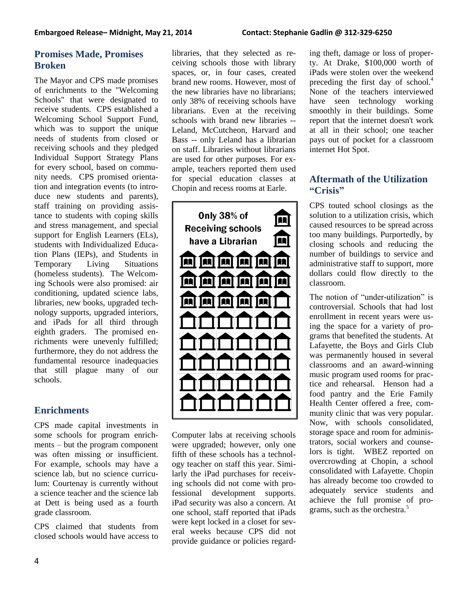# **Promises Made, Promises Broken**

The Mayor and CPS made promises of enrichments to the "Welcoming Schools" that were designated to receive students. CPS established a Welcoming School Support Fund, which was to support the unique needs of students from closed or receiving schools and they pledged Individual Support Strategy Plans for every school, based on community needs. CPS promised orientation and integration events (to introduce new students and parents), staff training on providing assistance to students with coping skills and stress management, and special support for English Learners (ELs), students with Individualized Education Plans (IEPs), and Students in Temporary Living Situations (homeless students). The Welcoming Schools were also promised: air conditioning, updated science labs, libraries, new books, upgraded technology supports, upgraded interiors, and iPads for all third through eighth graders. The promised enrichments were unevenly fulfilled; furthermore, they do not address the fundamental resource inadequacies that still plague many of our schools.

# **Enrichments**

CPS made capital investments in some schools for program enrichments – but the program component was often missing or insufficient. For example, schools may have a science lab, but no science curriculum: Courtenay is currently without a science teacher and the science lab at Dett is being used as a fourth grade classroom.

CPS claimed that students from closed schools would have access to libraries, that they selected as receiving schools those with library spaces, or, in four cases, created brand new rooms. However, most of the new libraries have no librarians; only 38% of receiving schools have librarians. Even at the receiving schools with brand new libraries -- Leland, McCutcheon, Harvard and Bass -- only Leland has a librarian on staff. Libraries without librarians are used for other purposes. For example, teachers reported them used for special education classes at Chopin and recess rooms at Earle.



Computer labs at receiving schools were upgraded; however, only one fifth of these schools has a technology teacher on staff this year. Similarly the iPad purchases for receiving schools did not come with professional development supports. iPad security was also a concern. At one school, staff reported that iPads were kept locked in a closet for several weeks because CPS did not provide guidance or policies regarding theft, damage or loss of property. At Drake, \$100,000 worth of iPads were stolen over the weekend preceding the first day of school.<sup>4</sup> None of the teachers interviewed have seen technology working smoothly in their buildings. Some report that the internet doesn't work at all in their school; one teacher pays out of pocket for a classroom internet Hot Spot.

# **Aftermath of the Utilization "Crisis"**

CPS touted school closings as the solution to a utilization crisis, which caused resources to be spread across too many buildings. Purportedly, by closing schools and reducing the number of buildings to service and administrative staff to support, more dollars could flow directly to the classroom.

The notion of "under-utilization" is controversial. Schools that had lost enrollment in recent years were using the space for a variety of programs that benefited the students. At Lafayette, the Boys and Girls Club was permanently housed in several classrooms and an award-winning music program used rooms for practice and rehearsal. Henson had a food pantry and the Erie Family Health Center offered a free, community clinic that was very popular. Now, with schools consolidated, storage space and room for administrators, social workers and counselors is tight. WBEZ reported on overcrowding at Chopin, a school consolidated with Lafayette. Chopin has already become too crowded to adequately service students and achieve the full promise of programs, such as the orchestra.<sup>5</sup>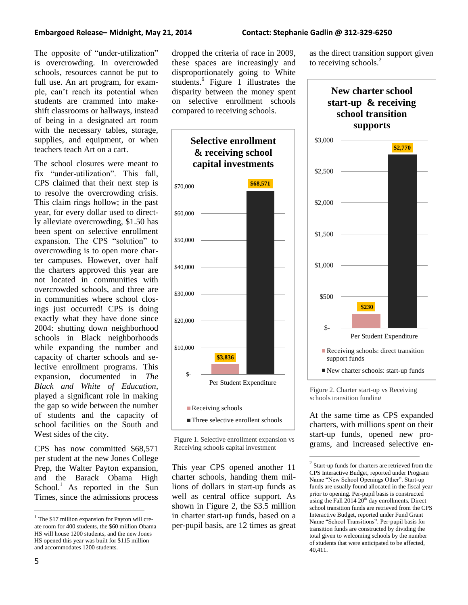#### **Embargoed Release– Midnight, May 21, 2014 Contact: Stephanie Gadlin @ 312-329-6250**

The opposite of "under-utilization" is overcrowding. In overcrowded schools, resources cannot be put to full use. An art program, for example, can't reach its potential when students are crammed into makeshift classrooms or hallways, instead of being in a designated art room with the necessary tables, storage, supplies, and equipment, or when teachers teach Art on a cart.

The school closures were meant to fix "under-utilization". This fall, CPS claimed that their next step is to resolve the overcrowding crisis. This claim rings hollow; in the past year, for every dollar used to directly alleviate overcrowding, \$1.50 has been spent on selective enrollment expansion. The CPS "solution" to overcrowding is to open more charter campuses. However, over half the charters approved this year are not located in communities with overcrowded schools, and three are in communities where school closings just occurred! CPS is doing exactly what they have done since 2004: shutting down neighborhood schools in Black neighborhoods while expanding the number and capacity of charter schools and selective enrollment programs. This expansion, documented in *The Black and White of Education*, played a significant role in making the gap so wide between the number of students and the capacity of school facilities on the South and West sides of the city.

CPS has now committed \$68,571 per student at the new Jones College Prep, the Walter Payton expansion, and the Barack Obama High School.<sup>1</sup> As reported in the Sun Times, since the admissions process

dropped the criteria of race in 2009, these spaces are increasingly and disproportionately going to White students.<sup>6</sup> Figure 1 illustrates the disparity between the money spent on selective enrollment schools compared to receiving schools.





This year CPS opened another 11 charter schools, handing them millions of dollars in start-up funds as well as central office support. As shown in Figure 2, the \$3.5 million in charter start-up funds, based on a per-pupil basis, are 12 times as great as the direct transition support given to receiving schools. $2$ 



Figure 2. Charter start-up vs Receiving schools transition funding

 $\overline{a}$ 

At the same time as CPS expanded charters, with millions spent on their start-up funds, opened new programs, and increased selective en-

 $\overline{a}$ 

<sup>&</sup>lt;sup>1</sup> The \$17 million expansion for Payton will create room for 400 students, the \$60 million Obama HS will house 1200 students, and the new Jones HS opened this year was built for \$115 million and accommodates 1200 students.

<sup>&</sup>lt;sup>2</sup> Start-up funds for charters are retrieved from the CPS Interactive Budget, reported under Program Name "New School Openings Other". Start-up funds are usually found allocated in the fiscal year prior to opening. Per-pupil basis is constructed using the Fall  $2014 20<sup>th</sup>$  day enrollments. Direct school transition funds are retrieved from the CPS Interactive Budget, reported under Fund Grant Name "School Transitions". Per-pupil basis for transition funds are constructed by dividing the total given to welcoming schools by the number of students that were anticipated to be affected, 40,411.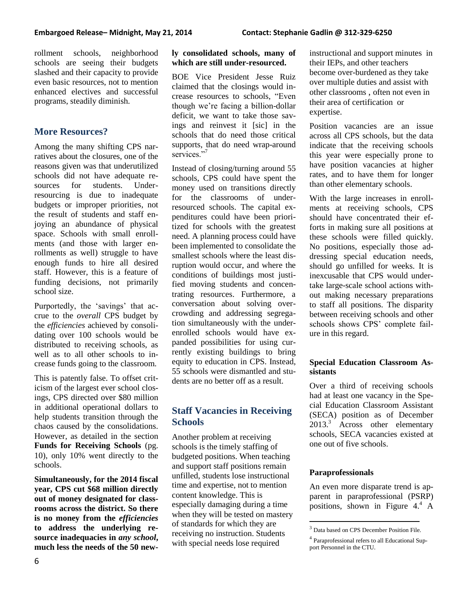rollment schools, neighborhood schools are seeing their budgets slashed and their capacity to provide even basic resources, not to mention enhanced electives and successful programs, steadily diminish.

# **More Resources?**

Among the many shifting CPS narratives about the closures, one of the reasons given was that underutilized schools did not have adequate resources for students. Underresourcing is due to inadequate budgets or improper priorities, not the result of students and staff enjoying an abundance of physical space. Schools with small enrollments (and those with larger enrollments as well) struggle to have enough funds to hire all desired staff. However, this is a feature of funding decisions, not primarily school size.

Purportedly, the 'savings' that accrue to the *overall* CPS budget by the *efficiencies* achieved by consolidating over 100 schools would be distributed to receiving schools, as well as to all other schools to increase funds going to the classroom.

This is patently false. To offset criticism of the largest ever school closings, CPS directed over \$80 million in additional operational dollars to help students transition through the chaos caused by the consolidations. However, as detailed in the section **Funds for Receiving Schools** (pg. 10), only 10% went directly to the schools.

**Simultaneously, for the 2014 fiscal year, CPS cut \$68 million directly out of money designated for classrooms across the district. So there is no money from the** *efficiencies*  **to address the underlying resource inadequacies in** *any school***, much less the needs of the 50 new-**

#### **ly consolidated schools, many of which are still under-resourced.**

BOE Vice President Jesse Ruiz claimed that the closings would increase resources to schools, "Even though we're facing a billion-dollar deficit, we want to take those savings and reinvest it [sic] in the schools that do need those critical supports, that do need wrap-around services."<sup>7</sup>

Instead of closing/turning around 55 schools, CPS could have spent the money used on transitions directly for the classrooms of underresourced schools. The capital expenditures could have been prioritized for schools with the greatest need. A planning process could have been implemented to consolidate the smallest schools where the least disruption would occur, and where the conditions of buildings most justified moving students and concentrating resources. Furthermore, a conversation about solving overcrowding and addressing segregation simultaneously with the underenrolled schools would have expanded possibilities for using currently existing buildings to bring equity to education in CPS. Instead, 55 schools were dismantled and students are no better off as a result.

# **Staff Vacancies in Receiving Schools**

Another problem at receiving schools is the timely staffing of budgeted positions. When teaching and support staff positions remain unfilled, students lose instructional time and expertise, not to mention content knowledge. This is especially damaging during a time when they will be tested on mastery of standards for which they are receiving no instruction. Students with special needs lose required

instructional and support minutes in their IEPs, and other teachers become over-burdened as they take over multiple duties and assist with other classrooms , often not even in their area of certification or expertise.

Position vacancies are an issue across all CPS schools, but the data indicate that the receiving schools this year were especially prone to have position vacancies at higher rates, and to have them for longer than other elementary schools.

With the large increases in enrollments at receiving schools, CPS should have concentrated their efforts in making sure all positions at these schools were filled quickly. No positions, especially those addressing special education needs, should go unfilled for weeks. It is inexcusable that CPS would undertake large-scale school actions without making necessary preparations to staff all positions. The disparity between receiving schools and other schools shows CPS' complete failure in this regard.

### **Special Education Classroom Assistants**

Over a third of receiving schools had at least one vacancy in the Special Education Classroom Assistant (SECA) position as of December 2013.<sup>3</sup> Across other elementary schools, SECA vacancies existed at one out of five schools.

#### **Paraprofessionals**

 $\overline{a}$ 

An even more disparate trend is apparent in paraprofessional (PSRP) positions, shown in Figure 4.<sup>4</sup> A

<sup>&</sup>lt;sup>3</sup> Data based on CPS December Position File.

<sup>&</sup>lt;sup>4</sup> Paraprofessional refers to all Educational Support Personnel in the CTU.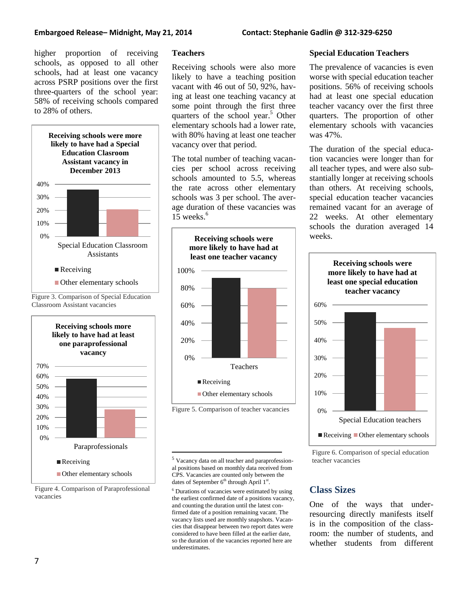#### **Embargoed Release– Midnight, May 21, 2014 Contact: Stephanie Gadlin @ 312-329-6250**

higher proportion of receiving schools, as opposed to all other schools, had at least one vacancy across PSRP positions over the first three-quarters of the school year: 58% of receiving schools compared to 28% of others.







Figure 4. Comparison of Paraprofessional vacancies

#### **Teachers**

Receiving schools were also more likely to have a teaching position vacant with 46 out of 50, 92%, having at least one teaching vacancy at some point through the first three quarters of the school year.<sup>5</sup> Other elementary schools had a lower rate, with 80% having at least one teacher vacancy over that period.

The total number of teaching vacancies per school across receiving schools amounted to 5.5, whereas the rate across other elementary schools was 3 per school. The average duration of these vacancies was 15 weeks. 6



<sup>5</sup> Vacancy data on all teacher and paraprofessional positions based on monthly data received from CPS. Vacancies are counted only between the dates of September  $6<sup>th</sup>$  through April  $1<sup>st</sup>$ .

 $\overline{a}$ 

<sup>6</sup> Durations of vacancies were estimated by using the earliest confirmed date of a positions vacancy, and counting the duration until the latest confirmed date of a position remaining vacant. The vacancy lists used are monthly snapshots. Vacancies that disappear between two report dates were considered to have been filled at the earlier date, so the duration of the vacancies reported here are underestimates.

#### **Special Education Teachers**

The prevalence of vacancies is even worse with special education teacher positions. 56% of receiving schools had at least one special education teacher vacancy over the first three quarters. The proportion of other elementary schools with vacancies was 47%.

The duration of the special education vacancies were longer than for all teacher types, and were also substantially longer at receiving schools than others. At receiving schools, special education teacher vacancies remained vacant for an average of 22 weeks. At other elementary schools the duration averaged 14 weeks.



Figure 6. Comparison of special education teacher vacancies

# **Class Sizes**

One of the ways that underresourcing directly manifests itself is in the composition of the classroom: the number of students, and whether students from different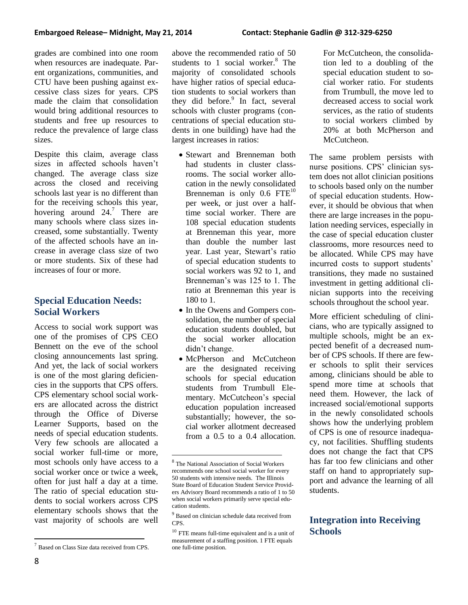grades are combined into one room when resources are inadequate. Parent organizations, communities, and CTU have been pushing against excessive class sizes for years. CPS made the claim that consolidation would bring additional resources to students and free up resources to reduce the prevalence of large class sizes.

Despite this claim, average class sizes in affected schools haven't changed. The average class size across the closed and receiving schools last year is no different than for the receiving schools this year, hovering around  $24$ .<sup>7</sup> There are many schools where class sizes increased, some substantially. Twenty of the affected schools have an increase in average class size of two or more students. Six of these had increases of four or more.

# **Special Education Needs: Social Workers**

Access to social work support was one of the promises of CPS CEO Bennett on the eve of the school closing announcements last spring. And yet, the lack of social workers is one of the most glaring deficiencies in the supports that CPS offers. CPS elementary school social workers are allocated across the district through the Office of Diverse Learner Supports, based on the needs of special education students. Very few schools are allocated a social worker full-time or more, most schools only have access to a social worker once or twice a week, often for just half a day at a time. The ratio of special education students to social workers across CPS elementary schools shows that the vast majority of schools are well above the recommended ratio of 50 students to 1 social worker. $8$  The majority of consolidated schools have higher ratios of special education students to social workers than they did before.<sup>9</sup> In fact, several schools with cluster programs (concentrations of special education students in one building) have had the largest increases in ratios:

- Stewart and Brenneman both had students in cluster classrooms. The social worker allocation in the newly consolidated Brenneman is only  $0.6$  FTE<sup>10</sup> per week, or just over a halftime social worker. There are 108 special education students at Brenneman this year, more than double the number last year. Last year, Stewart's ratio of special education students to social workers was 92 to 1, and Brenneman's was 125 to 1. The ratio at Brenneman this year is 180 to 1.
- In the Owens and Gompers consolidation, the number of special education students doubled, but the social worker allocation didn't change.
- McPherson and McCutcheon are the designated receiving schools for special education students from Trumbull Elementary. McCutcheon's special education population increased substantially; however, the social worker allotment decreased from a  $0.5$  to a  $0.4$  allocation.

For McCutcheon, the consolidation led to a doubling of the special education student to social worker ratio. For students from Trumbull, the move led to decreased access to social work services, as the ratio of students to social workers climbed by 20% at both McPherson and McCutcheon.

The same problem persists with nurse positions. CPS' clinician system does not allot clinician positions to schools based only on the number of special education students. However, it should be obvious that when there are large increases in the population needing services, especially in the case of special education cluster classrooms, more resources need to be allocated. While CPS may have incurred costs to support students' transitions, they made no sustained investment in getting additional clinician supports into the receiving schools throughout the school year.

More efficient scheduling of clinicians, who are typically assigned to multiple schools, might be an expected benefit of a decreased number of CPS schools. If there are fewer schools to split their services among, clinicians should be able to spend more time at schools that need them. However, the lack of increased social/emotional supports in the newly consolidated schools shows how the underlying problem of CPS is one of resource inadequacy, not facilities. Shuffling students does not change the fact that CPS has far too few clinicians and other staff on hand to appropriately support and advance the learning of all students.

# **Integration into Receiving Schools**

 $\overline{a}$ 

 $<sup>7</sup>$  Based on Class Size data received from CPS.</sup>

 $\overline{a}$ 8 The National Association of Social Workers recommends one school social worker for every 50 students with intensive needs. The Illinois State Board of Education Student Service Providers Advisory Board recommends a ratio of 1 to 50 when social workers primarily serve special education students.

<sup>&</sup>lt;sup>9</sup> Based on clinician schedule data received from CPS.

 $^{10}$  FTE means full-time equivalent and is a unit of measurement of a staffing position. 1 FTE equals one full-time position.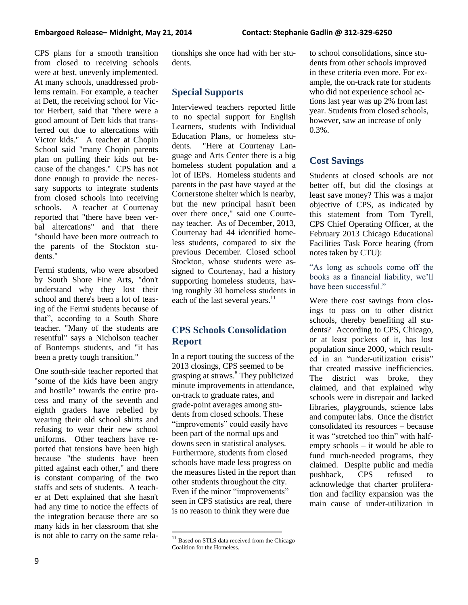CPS plans for a smooth transition from closed to receiving schools were at best, unevenly implemented. At many schools, unaddressed problems remain. For example, a teacher at Dett, the receiving school for Victor Herbert, said that "there were a good amount of Dett kids that transferred out due to altercations with Victor kids." A teacher at Chopin School said "many Chopin parents plan on pulling their kids out because of the changes." CPS has not done enough to provide the necessary supports to integrate students from closed schools into receiving schools. A teacher at Courtenay reported that "there have been verbal altercations" and that there "should have been more outreach to the parents of the Stockton students."

Fermi students, who were absorbed by South Shore Fine Arts, "don't understand why they lost their school and there's been a lot of teasing of the Fermi students because of that", according to a South Shore teacher. "Many of the students are resentful" says a Nicholson teacher of Bontemps students, and "it has been a pretty tough transition."

One south-side teacher reported that "some of the kids have been angry and hostile" towards the entire process and many of the seventh and eighth graders have rebelled by wearing their old school shirts and refusing to wear their new school uniforms. Other teachers have reported that tensions have been high because "the students have been pitted against each other," and there is constant comparing of the two staffs and sets of students. A teacher at Dett explained that she hasn't had any time to notice the effects of the integration because there are so many kids in her classroom that she is not able to carry on the same relationships she once had with her students.

# **Special Supports**

Interviewed teachers reported little to no special support for English Learners, students with Individual Education Plans, or homeless students. "Here at Courtenay Language and Arts Center there is a big homeless student population and a lot of IEPs. Homeless students and parents in the past have stayed at the Cornerstone shelter which is nearby, but the new principal hasn't been over there once," said one Courtenay teacher. As of December, 2013, Courtenay had 44 identified homeless students, compared to six the previous December. Closed school Stockton, whose students were assigned to Courtenay, had a history supporting homeless students, having roughly 30 homeless students in each of the last several years.<sup>11</sup>

# **CPS Schools Consolidation Report**

In a report touting the success of the 2013 closings, CPS seemed to be grasping at straws.<sup>8</sup> They publicized minute improvements in attendance, on-track to graduate rates, and grade-point averages among students from closed schools. These "improvements" could easily have been part of the normal ups and downs seen in statistical analyses. Furthermore, students from closed schools have made less progress on the measures listed in the report than other students throughout the city. Even if the minor "improvements" seen in CPS statistics are real, there is no reason to think they were due

 $\overline{a}$ 

to school consolidations, since students from other schools improved in these criteria even more. For example, the on-track rate for students who did not experience school actions last year was up 2% from last year. Students from closed schools, however, saw an increase of only 0.3%.

# **Cost Savings**

Students at closed schools are not better off, but did the closings at least save money? This was a major objective of CPS, as indicated by this statement from Tom Tyrell, CPS Chief Operating Officer, at the February 2013 Chicago Educational Facilities Task Force hearing (from notes taken by CTU):

"As long as schools come off the books as a financial liability, we'll have been successful."

Were there cost savings from closings to pass on to other district schools, thereby benefiting all students? According to CPS, Chicago, or at least pockets of it, has lost population since 2000, which resulted in an "under-utilization crisis" that created massive inefficiencies. The district was broke, they claimed, and that explained why schools were in disrepair and lacked libraries, playgrounds, science labs and computer labs. Once the district consolidated its resources – because it was "stretched too thin" with halfempty schools – it would be able to fund much-needed programs, they claimed. Despite public and media pushback, CPS refused to acknowledge that charter proliferation and facility expansion was the main cause of under-utilization in

<sup>&</sup>lt;sup>11</sup> Based on STLS data received from the Chicago Coalition for the Homeless.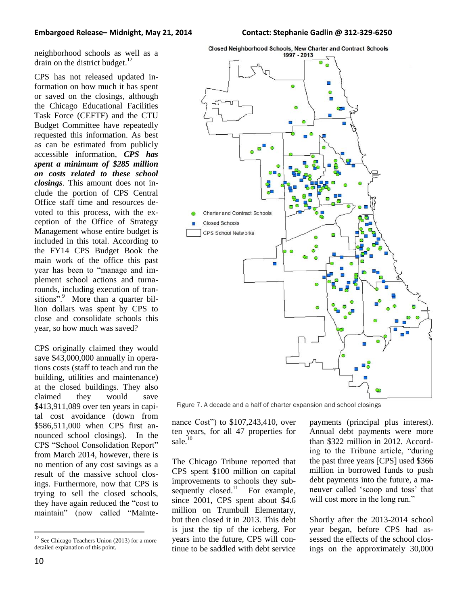neighborhood schools as well as a drain on the district budget. $^{12}$ 

CPS has not released updated information on how much it has spent or saved on the closings, although the Chicago Educational Facilities Task Force (CEFTF) and the CTU Budget Committee have repeatedly requested this information. As best as can be estimated from publicly accessible information, *CPS has spent a minimum of \$285 million on costs related to these school closings*. This amount does not include the portion of CPS Central Office staff time and resources devoted to this process, with the exception of the Office of Strategy Management whose entire budget is included in this total. According to the FY14 CPS Budget Book the main work of the office this past year has been to "manage and implement school actions and turnarounds, including execution of transitions".<sup>9</sup> More than a quarter billion dollars was spent by CPS to close and consolidate schools this year, so how much was saved?

CPS originally claimed they would save \$43,000,000 annually in operations costs (staff to teach and run the building, utilities and maintenance) at the closed buildings. They also claimed they would save \$413,911,089 over ten years in capital cost avoidance (down from \$586,511,000 when CPS first announced school closings). In the CPS "School Consolidation Report" from March 2014, however, there is no mention of any cost savings as a result of the massive school closings. Furthermore, now that CPS is trying to sell the closed schools, they have again reduced the "cost to maintain" (now called "Mainte-



Figure 7. A decade and a half of charter expansion and school closings

nance Cost") to \$107,243,410, over ten years, for all 47 properties for sale.<sup>10</sup>

The Chicago Tribune reported that CPS spent \$100 million on capital improvements to schools they subsequently  $closed.<sup>11</sup>$  For example, since 2001, CPS spent about \$4.6 million on Trumbull Elementary, but then closed it in 2013. This debt is just the tip of the iceberg. For years into the future, CPS will continue to be saddled with debt service

payments (principal plus interest). Annual debt payments were more than \$322 million in 2012. According to the Tribune article, "during the past three years [CPS] used \$366 million in borrowed funds to push debt payments into the future, a maneuver called 'scoop and toss' that will cost more in the long run."

Shortly after the 2013-2014 school year began, before CPS had assessed the effects of the school closings on the approximately 30,000

 $\overline{a}$ 

 $12$  See Chicago Teachers Union (2013) for a more detailed explanation of this point.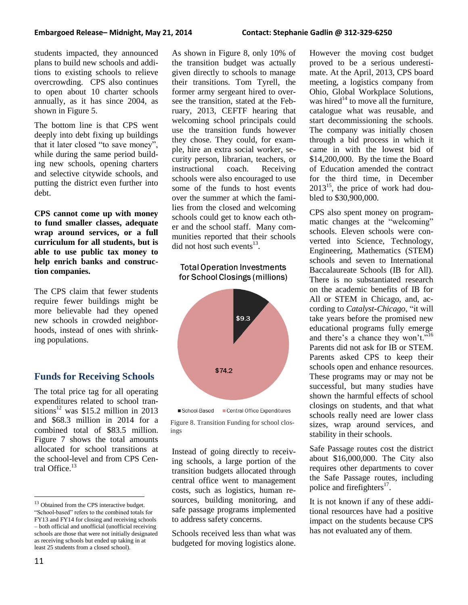#### **Embargoed Release– Midnight, May 21, 2014 Contact: Stephanie Gadlin @ 312-329-6250**

students impacted, they announced plans to build new schools and additions to existing schools to relieve overcrowding. CPS also continues to open about 10 charter schools annually, as it has since 2004, as shown in Figure 5.

The bottom line is that CPS went deeply into debt fixing up buildings that it later closed "to save money", while during the same period building new schools, opening charters and selective citywide schools, and putting the district even further into debt.

**CPS cannot come up with money to fund smaller classes, adequate wrap around services, or a full curriculum for all students, but is able to use public tax money to help enrich banks and construction companies.**

The CPS claim that fewer students require fewer buildings might be more believable had they opened new schools in crowded neighborhoods, instead of ones with shrinking populations.

## **Funds for Receiving Schools**

The total price tag for all operating expenditures related to school transitions <sup>12</sup> was \$15.2 million in 2013 and \$68.3 million in 2014 for a combined total of \$83.5 million. Figure 7 shows the total amounts allocated for school transitions at the school-level and from CPS Central Office.<sup>13</sup>

As shown in Figure 8, only 10% of the transition budget was actually given directly to schools to manage their transitions. Tom Tyrell, the former army sergeant hired to oversee the transition, stated at the February, 2013, CEFTF hearing that welcoming school principals could use the transition funds however they chose. They could, for example, hire an extra social worker, security person, librarian, teachers, or instructional coach. Receiving schools were also encouraged to use some of the funds to host events over the summer at which the families from the closed and welcoming schools could get to know each other and the school staff. Many communities reported that their schools did not host such events $^{13}$ .

### **Total Operation Investments** for School Closings (millions)





Figure 8. Transition Funding for school closings

Instead of going directly to receiving schools, a large portion of the transition budgets allocated through central office went to management costs, such as logistics, human resources, building monitoring, and safe passage programs implemented to address safety concerns.

Schools received less than what was budgeted for moving logistics alone. However the moving cost budget proved to be a serious underestimate. At the April, 2013, CPS board meeting, a logistics company from Ohio, Global Workplace Solutions, was hired<sup>14</sup> to move all the furniture, catalogue what was reusable, and start decommissioning the schools. The company was initially chosen through a bid process in which it came in with the lowest bid of \$14,200,000. By the time the Board of Education amended the contract for the third time, in December  $2013^{15}$ , the price of work had doubled to \$30,900,000.

CPS also spent money on programmatic changes at the "welcoming" schools. Eleven schools were converted into Science, Technology, Engineering, Mathematics (STEM) schools and seven to International Baccalaureate Schools (IB for All). There is no substantiated research on the academic benefits of IB for All or STEM in Chicago, and, according to *Catalyst-Chicago*, "it will take years before the promised new educational programs fully emerge and there's a chance they won't."<sup>16</sup> Parents did not ask for IB or STEM. Parents asked CPS to keep their schools open and enhance resources. These programs may or may not be successful, but many studies have shown the harmful effects of school closings on students, and that what schools really need are lower class sizes, wrap around services, and stability in their schools.

Safe Passage routes cost the district about \$16,000,000. The City also requires other departments to cover the Safe Passage routes, including police and firefighters<sup>17</sup>.

It is not known if any of these additional resources have had a positive impact on the students because CPS has not evaluated any of them.

 $\overline{a}$ <sup>13</sup> Obtained from the CPS interactive budget. "School-based" refers to the combined totals for FY13 and FY14 for closing and receiving schools – both official and unofficial (unofficial receiving schools are those that were not initially designated as receiving schools but ended up taking in at least 25 students from a closed school).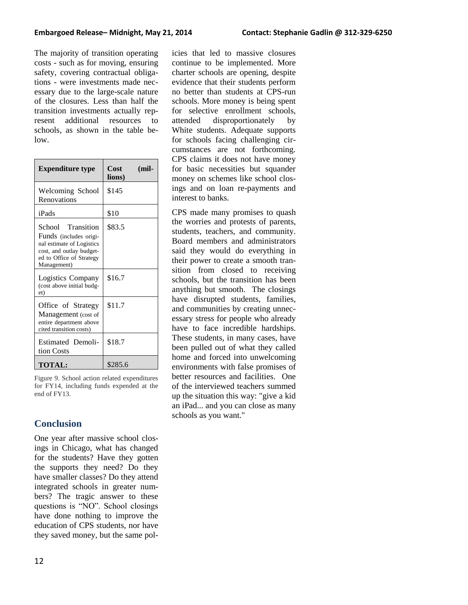The majority of transition operating costs - such as for moving, ensuring safety, covering contractual obligations - were investments made necessary due to the large-scale nature of the closures. Less than half the transition investments actually represent additional resources to schools, as shown in the table below.

| <b>Expenditure type</b>                                                                                                                         | Cost<br>(mil-<br>lions) |
|-------------------------------------------------------------------------------------------------------------------------------------------------|-------------------------|
| Welcoming School<br>Renovations                                                                                                                 | \$145                   |
| iPads                                                                                                                                           | \$10                    |
| School Transition<br>Funds (includes origi-<br>nal estimate of Logistics<br>cost, and outlay budget-<br>ed to Office of Strategy<br>Management) | \$83.5                  |
| Logistics Company<br>(cost above initial budg-<br>et)                                                                                           | \$16.7                  |
| Office of Strategy<br>Management (cost of<br>entire department above<br>cited transition costs)                                                 | \$11.7                  |
| <b>Estimated Demoli-</b><br>tion Costs                                                                                                          | \$18.7                  |
| <b>TOTAL:</b>                                                                                                                                   | \$285.6                 |

Figure 9. School action related expenditures for FY14, including funds expended at the end of FY13.

# **Conclusion**

One year after massive school closings in Chicago, what has changed for the students? Have they gotten the supports they need? Do they have smaller classes? Do they attend integrated schools in greater numbers? The tragic answer to these questions is "NO". School closings have done nothing to improve the education of CPS students, nor have they saved money, but the same policies that led to massive closures continue to be implemented. More charter schools are opening, despite evidence that their students perform no better than students at CPS-run schools. More money is being spent for selective enrollment schools, attended disproportionately by White students. Adequate supports for schools facing challenging circumstances are not forthcoming. CPS claims it does not have money for basic necessities but squander money on schemes like school closings and on loan re-payments and interest to banks.

CPS made many promises to quash the worries and protests of parents, students, teachers, and community. Board members and administrators said they would do everything in their power to create a smooth transition from closed to receiving schools, but the transition has been anything but smooth. The closings have disrupted students, families, and communities by creating unnecessary stress for people who already have to face incredible hardships. These students, in many cases, have been pulled out of what they called home and forced into unwelcoming environments with false promises of better resources and facilities. One of the interviewed teachers summed up the situation this way: "give a kid an iPad... and you can close as many schools as you want."